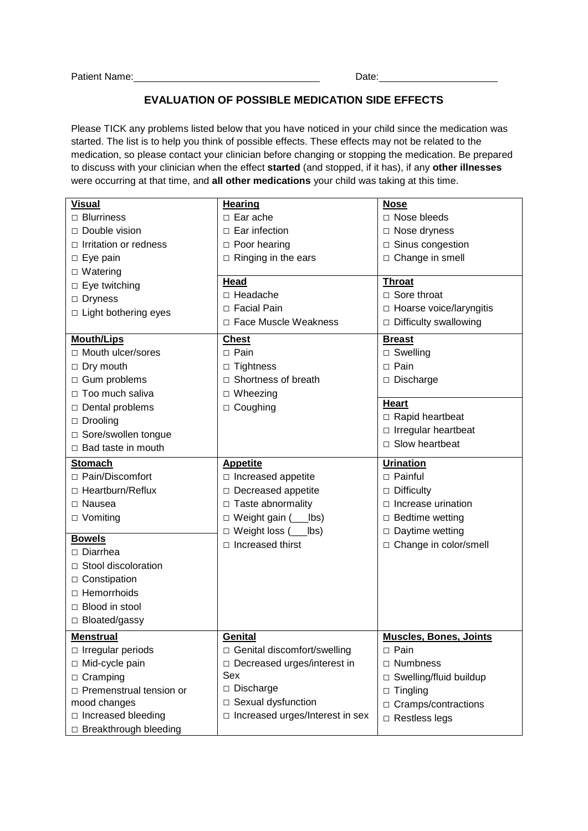## **EVALUATION OF POSSIBLE MEDICATION SIDE EFFECTS**

Please TICK any problems listed below that you have noticed in your child since the medication was started. The list is to help you think of possible effects. These effects may not be related to the medication, so please contact your clinician before changing or stopping the medication. Be prepared to discuss with your clinician when the effect **started** (and stopped, if it has), if any **other illnesses** were occurring at that time, and **all other medications** your child was taking at this time.

| <b>Visual</b>                | <b>Hearing</b>                    | <b>Nose</b>                   |
|------------------------------|-----------------------------------|-------------------------------|
| $\Box$ Blurriness            | $\Box$ Ear ache                   | $\Box$ Nose bleeds            |
| □ Double vision              | $\Box$ Ear infection              | $\Box$ Nose dryness           |
| $\Box$ Irritation or redness | $\Box$ Poor hearing               | $\Box$ Sinus congestion       |
| $\Box$ Eye pain              | $\Box$ Ringing in the ears        | $\Box$ Change in smell        |
| $\Box$ Watering              |                                   |                               |
| $\Box$ Eye twitching         | Head                              | <b>Throat</b>                 |
| $\Box$ Dryness               | $\Box$ Headache                   | $\Box$ Sore throat            |
| $\Box$ Light bothering eyes  | □ Facial Pain                     | □ Hoarse voice/laryngitis     |
|                              | □ Face Muscle Weakness            | $\Box$ Difficulty swallowing  |
| <b>Mouth/Lips</b>            | <b>Chest</b>                      | <b>Breast</b>                 |
| □ Mouth ulcer/sores          | $\Box$ Pain                       | $\Box$ Swelling               |
| $\Box$ Dry mouth             | $\Box$ Tightness                  | $\Box$ Pain                   |
| □ Gum problems               | $\Box$ Shortness of breath        | $\Box$ Discharge              |
| □ Too much saliva            | $\Box$ Wheezing                   |                               |
| □ Dental problems            | $\Box$ Coughing                   | <b>Heart</b>                  |
| $\Box$ Drooling              |                                   | □ Rapid heartbeat             |
| □ Sore/swollen tongue        |                                   | $\Box$ Irregular heartbeat    |
| $\Box$ Bad taste in mouth    |                                   | $\Box$ Slow heartbeat         |
|                              |                                   |                               |
| <b>Stomach</b>               | <b>Appetite</b>                   | <b>Urination</b>              |
| □ Pain/Discomfort            | $\square$ Increased appetite      | $\Box$ Painful                |
| □ Heartburn/Reflux           | □ Decreased appetite              | $\Box$ Difficulty             |
| □ Nausea                     | □ Taste abnormality               | $\Box$ Increase urination     |
| □ Vomiting                   | $\Box$ Weight gain ( ___ lbs)     | $\Box$ Bedtime wetting        |
| <b>Bowels</b>                | □ Weight loss (___lbs)            | $\Box$ Daytime wetting        |
| □ Diarrhea                   | $\Box$ Increased thirst           | □ Change in color/smell       |
| □ Stool discoloration        |                                   |                               |
|                              |                                   |                               |
| □ Constipation               |                                   |                               |
| $\Box$ Hemorrhoids           |                                   |                               |
| □ Blood in stool             |                                   |                               |
| $\Box$ Bloated/gassy         |                                   |                               |
| <b>Menstrual</b>             | Genital                           | <b>Muscles, Bones, Joints</b> |
| $\Box$ Irregular periods     | □ Genital discomfort/swelling     | $\Box$ Pain                   |
| □ Mid-cycle pain             | □ Decreased urges/interest in     | $\Box$ Numbness               |
| $\Box$ Cramping              | Sex                               | □ Swelling/fluid buildup      |
| □ Premenstrual tension or    | □ Discharge                       | $\Box$ Tingling               |
| mood changes                 | □ Sexual dysfunction              | $\Box$ Cramps/contractions    |
| □ Increased bleeding         | □ Increased urges/Interest in sex | $\Box$ Restless legs          |
| □ Breakthrough bleeding      |                                   |                               |